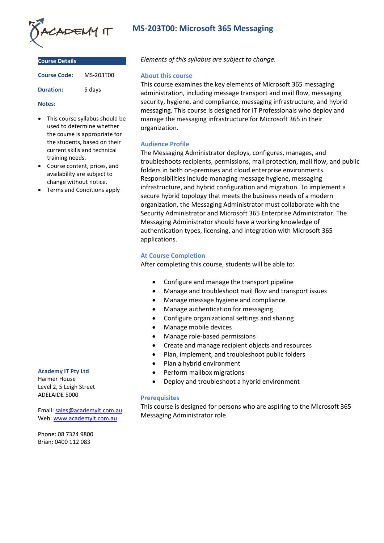

| <b>Course Details</b> |           |
|-----------------------|-----------|
| <b>Course Code:</b>   | MS-203T00 |
| <b>Duration:</b>      | 5 days    |

#### **Notes:**

- This course syllabus should be used to determine whether the course is appropriate for the students, based on their current skills and technical training needs.
- Course content, prices, and availability are subject to change without notice.
- Terms and Conditions apply

#### **Academy IT Pty Ltd**

Harmer House Level 2, 5 Leigh Street ADELAIDE 5000

Email: [sales@academyit.com.au](mailto:sales@academyit.com.au) Web: [www.academyit.com.au](http://www.academyit.com.au/)

Phone: 08 7324 9800 Brian: 0400 112 083

# **MS-203T00: Microsoft 365 Messaging**

*Elements of this syllabus are subject to change.*

#### **About this course**

This course examines the key elements of Microsoft 365 messaging administration, including message transport and mail flow, messaging security, hygiene, and compliance, messaging infrastructure, and hybrid messaging. This course is designed for IT Professionals who deploy and manage the messaging infrastructure for Microsoft 365 in their organization.

### **Audience Profile**

The Messaging Administrator deploys, configures, manages, and troubleshoots recipients, permissions, mail protection, mail flow, and public folders in both on-premises and cloud enterprise environments. Responsibilities include managing message hygiene, messaging infrastructure, and hybrid configuration and migration. To implement a secure hybrid topology that meets the business needs of a modern organization, the Messaging Administrator must collaborate with the Security Administrator and Microsoft 365 Enterprise Administrator. The Messaging Administrator should have a working knowledge of authentication types, licensing, and integration with Microsoft 365 applications.

### **At Course Completion**

After completing this course, students will be able to:

- Configure and manage the transport pipeline
- Manage and troubleshoot mail flow and transport issues
- Manage message hygiene and compliance
- Manage authentication for messaging
- Configure organizational settings and sharing
- Manage mobile devices
- Manage role-based permissions
- Create and manage recipient objects and resources
- Plan, implement, and troubleshoot public folders
- Plan a hybrid environment
- Perform mailbox migrations
- Deploy and troubleshoot a hybrid environment

### **Prerequisites**

This course is designed for persons who are aspiring to the Microsoft 365 Messaging Administrator role.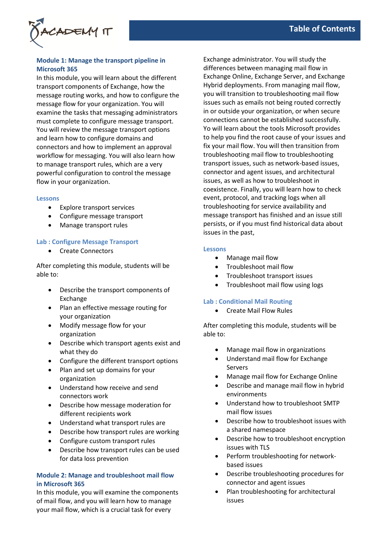

### **Module 1: Manage the transport pipeline in Microsoft 365**

In this module, you will learn about the different transport components of Exchange, how the message routing works, and how to configure the message flow for your organization. You will examine the tasks that messaging administrators must complete to configure message transport. You will review the message transport options and learn how to configure domains and connectors and how to implement an approval workflow for messaging. You will also learn how to manage transport rules, which are a very powerful configuration to control the message flow in your organization.

#### **Lessons**

- Explore transport services
- Configure message transport
- Manage transport rules

### **Lab : Configure Message Transport**

• Create Connectors

After completing this module, students will be able to:

- Describe the transport components of Exchange
- Plan an effective message routing for your organization
- Modify message flow for your organization
- Describe which transport agents exist and what they do
- Configure the different transport options
- Plan and set up domains for your organization
- Understand how receive and send connectors work
- Describe how message moderation for different recipients work
- Understand what transport rules are
- Describe how transport rules are working
- Configure custom transport rules
- Describe how transport rules can be used for data loss prevention

### **Module 2: Manage and troubleshoot mail flow in Microsoft 365**

In this module, you will examine the components of mail flow, and you will learn how to manage your mail flow, which is a crucial task for every

Exchange administrator. You will study the differences between managing mail flow in Exchange Online, Exchange Server, and Exchange Hybrid deployments. From managing mail flow, you will transition to troubleshooting mail flow issues such as emails not being routed correctly in or outside your organization, or when secure connections cannot be established successfully. Yo will learn about the tools Microsoft provides to help you find the root cause of your issues and fix your mail flow. You will then transition from troubleshooting mail flow to troubleshooting transport issues, such as network-based issues, connector and agent issues, and architectural issues, as well as how to troubleshoot in coexistence. Finally, you will learn how to check event, protocol, and tracking logs when all troubleshooting for service availability and message transport has finished and an issue still persists, or if you must find historical data about issues in the past,

#### **Lessons**

- Manage mail flow
- Troubleshoot mail flow
- Troubleshoot transport issues
- Troubleshoot mail flow using logs

#### **Lab : Conditional Mail Routing**

• Create Mail Flow Rules

- Manage mail flow in organizations
- Understand mail flow for Exchange Servers
- Manage mail flow for Exchange Online
- Describe and manage mail flow in hybrid environments
- Understand how to troubleshoot SMTP mail flow issues
- Describe how to troubleshoot issues with a shared namespace
- Describe how to troubleshoot encryption issues with TLS
- Perform troubleshooting for networkbased issues
- Describe troubleshooting procedures for connector and agent issues
- Plan troubleshooting for architectural issues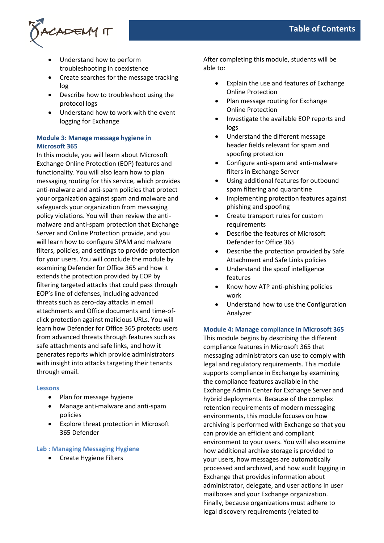

- Understand how to perform troubleshooting in coexistence
- Create searches for the message tracking log
- Describe how to troubleshoot using the protocol logs
- Understand how to work with the event logging for Exchange

# **Module 3: Manage message hygiene in Microsoft 365**

In this module, you will learn about Microsoft Exchange Online Protection (EOP) features and functionality. You will also learn how to plan messaging routing for this service, which provides anti-malware and anti-spam policies that protect your organization against spam and malware and safeguards your organization from messaging policy violations. You will then review the antimalware and anti-spam protection that Exchange Server and Online Protection provide, and you will learn how to configure SPAM and malware filters, policies, and settings to provide protection for your users. You will conclude the module by examining Defender for Office 365 and how it extends the protection provided by EOP by filtering targeted attacks that could pass through EOP's line of defenses, including advanced threats such as zero-day attacks in email attachments and Office documents and time-ofclick protection against malicious URLs. You will learn how Defender for Office 365 protects users from advanced threats through features such as safe attachments and safe links, and how it generates reports which provide administrators with insight into attacks targeting their tenants through email.

#### **Lessons**

- Plan for message hygiene
- Manage anti-malware and anti-spam policies
- Explore threat protection in Microsoft 365 Defender

### **Lab : Managing Messaging Hygiene**

• Create Hygiene Filters

After completing this module, students will be able to:

- Explain the use and features of Exchange Online Protection
- Plan message routing for Exchange Online Protection
- Investigate the available EOP reports and logs
- Understand the different message header fields relevant for spam and spoofing protection
- Configure anti-spam and anti-malware filters in Exchange Server
- Using additional features for outbound spam filtering and quarantine
- Implementing protection features against phishing and spoofing
- Create transport rules for custom requirements
- Describe the features of Microsoft Defender for Office 365
- Describe the protection provided by Safe Attachment and Safe Links policies
- Understand the spoof intelligence features
- Know how ATP anti-phishing policies work
- Understand how to use the Configuration Analyzer

### **Module 4: Manage compliance in Microsoft 365**

This module begins by describing the different compliance features in Microsoft 365 that messaging administrators can use to comply with legal and regulatory requirements. This module supports compliance in Exchange by examining the compliance features available in the Exchange Admin Center for Exchange Server and hybrid deployments. Because of the complex retention requirements of modern messaging environments, this module focuses on how archiving is performed with Exchange so that you can provide an efficient and compliant environment to your users. You will also examine how additional archive storage is provided to your users, how messages are automatically processed and archived, and how audit logging in Exchange that provides information about administrator, delegate, and user actions in user mailboxes and your Exchange organization. Finally, because organizations must adhere to legal discovery requirements (related to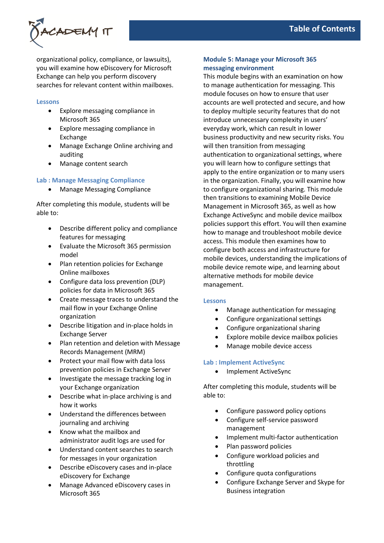

organizational policy, compliance, or lawsuits), you will examine how eDiscovery for Microsoft Exchange can help you perform discovery searches for relevant content within mailboxes.

#### **Lessons**

- Explore messaging compliance in Microsoft 365
- Explore messaging compliance in Exchange
- Manage Exchange Online archiving and auditing
- Manage content search

### **Lab : Manage Messaging Compliance**

• Manage Messaging Compliance

After completing this module, students will be able to:

- Describe different policy and compliance features for messaging
- Evaluate the Microsoft 365 permission model
- Plan retention policies for Exchange Online mailboxes
- Configure data loss prevention (DLP) policies for data in Microsoft 365
- Create message traces to understand the mail flow in your Exchange Online organization
- Describe litigation and in-place holds in Exchange Server
- Plan retention and deletion with Message Records Management (MRM)
- Protect your mail flow with data loss prevention policies in Exchange Server
- Investigate the message tracking log in your Exchange organization
- Describe what in-place archiving is and how it works
- Understand the differences between journaling and archiving
- Know what the mailbox and administrator audit logs are used for
- Understand content searches to search for messages in your organization
- Describe eDiscovery cases and in-place eDiscovery for Exchange
- Manage Advanced eDiscovery cases in Microsoft 365

### **Module 5: Manage your Microsoft 365 messaging environment**

This module begins with an examination on how to manage authentication for messaging. This module focuses on how to ensure that user accounts are well protected and secure, and how to deploy multiple security features that do not introduce unnecessary complexity in users' everyday work, which can result in lower business productivity and new security risks. You will then transition from messaging authentication to organizational settings, where you will learn how to configure settings that apply to the entire organization or to many users in the organization. Finally, you will examine how to configure organizational sharing. This module then transitions to examining Mobile Device Management in Microsoft 365, as well as how Exchange ActiveSync and mobile device mailbox policies support this effort. You will then examine how to manage and troubleshoot mobile device access. This module then examines how to configure both access and infrastructure for mobile devices, understanding the implications of mobile device remote wipe, and learning about alternative methods for mobile device management.

#### **Lessons**

- Manage authentication for messaging
- Configure organizational settings
- Configure organizational sharing
- Explore mobile device mailbox policies
- Manage mobile device access

### **Lab : Implement ActiveSync**

• Implement ActiveSync

- Configure password policy options
- Configure self-service password management
- Implement multi-factor authentication
- Plan password policies
- Configure workload policies and throttling
- Configure quota configurations
- Configure Exchange Server and Skype for Business integration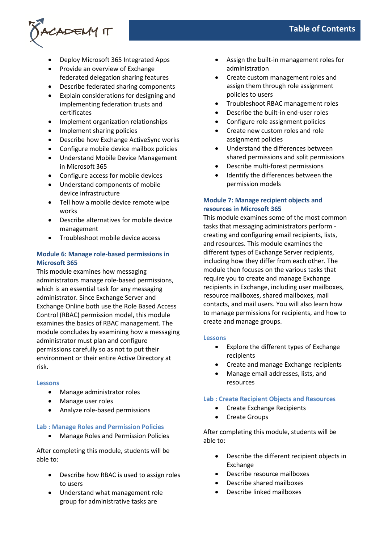

- Deploy Microsoft 365 Integrated Apps
- Provide an overview of Exchange federated delegation sharing features
- Describe federated sharing components
- Explain considerations for designing and implementing federation trusts and certificates
- Implement organization relationships
- Implement sharing policies
- Describe how Exchange ActiveSync works
- Configure mobile device mailbox policies
- Understand Mobile Device Management in Microsoft 365
- Configure access for mobile devices
- Understand components of mobile device infrastructure
- Tell how a mobile device remote wipe works
- Describe alternatives for mobile device management
- Troubleshoot mobile device access

### **Module 6: Manage role-based permissions in Microsoft 365**

This module examines how messaging administrators manage role-based permissions, which is an essential task for any messaging administrator. Since Exchange Server and Exchange Online both use the Role Based Access Control (RBAC) permission model, this module examines the basics of RBAC management. The module concludes by examining how a messaging administrator must plan and configure permissions carefully so as not to put their environment or their entire Active Directory at risk.

### **Lessons**

- Manage administrator roles
- Manage user roles
- Analyze role-based permissions

#### **Lab : Manage Roles and Permission Policies**

• Manage Roles and Permission Policies

After completing this module, students will be able to:

- Describe how RBAC is used to assign roles to users
- Understand what management role group for administrative tasks are
- Assign the built-in management roles for administration
- Create custom management roles and assign them through role assignment policies to users
- Troubleshoot RBAC management roles
- Describe the built-in end-user roles
- Configure role assignment policies
- Create new custom roles and role assignment policies
- Understand the differences between shared permissions and split permissions
- Describe multi-forest permissions
- Identify the differences between the permission models

# **Module 7: Manage recipient objects and resources in Microsoft 365**

This module examines some of the most common tasks that messaging administrators perform creating and configuring email recipients, lists, and resources. This module examines the different types of Exchange Server recipients, including how they differ from each other. The module then focuses on the various tasks that require you to create and manage Exchange recipients in Exchange, including user mailboxes, resource mailboxes, shared mailboxes, mail contacts, and mail users. You will also learn how to manage permissions for recipients, and how to create and manage groups.

### **Lessons**

- Explore the different types of Exchange recipients
- Create and manage Exchange recipients
- Manage email addresses, lists, and resources

### **Lab : Create Recipient Objects and Resources**

- Create Exchange Recipients
- Create Groups

- Describe the different recipient objects in Exchange
- Describe resource mailboxes
- Describe shared mailboxes
- Describe linked mailboxes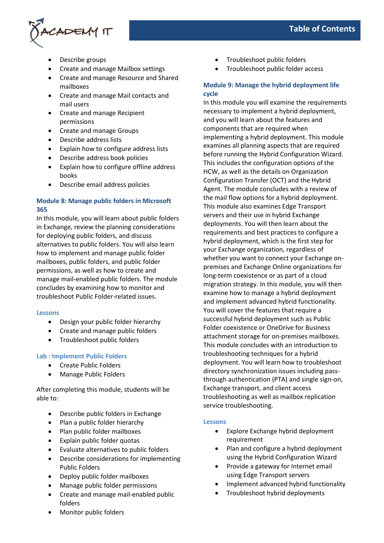

- Describe groups
- Create and manage Mailbox settings
- Create and manage Resource and Shared mailboxes
- Create and manage Mail contacts and mail users
- Create and manage Recipient permissions
- Create and manage Groups
- Describe address lists
- Explain how to configure address lists
- Describe address book policies
- Explain how to configure offline address books
- Describe email address policies

## **Module 8: Manage public folders in Microsoft 365**

In this module, you will learn about public folders in Exchange, review the planning considerations for deploying public folders, and discuss alternatives to public folders. You will also learn how to implement and manage public folder mailboxes, public folders, and public folder permissions, as well as how to create and manage mail-enabled public folders. The module concludes by examining how to monitor and troubleshoot Public Folder-related issues.

#### **Lessons**

- Design your public folder hierarchy
- Create and manage public folders
- Troubleshoot public folders

### **Lab : Implement Public Folders**

- Create Public Folders
- Manage Public Folders

After completing this module, students will be able to:

- Describe public folders in Exchange
- Plan a public folder hierarchy
- Plan public folder mailboxes
- Explain public folder quotas
- Evaluate alternatives to public folders
- Describe considerations for implementing Public Folders
- Deploy public folder mailboxes
- Manage public folder permissions
- Create and manage mail-enabled public folders
- Troubleshoot public folders
- Troubleshoot public folder access

# **Module 9: Manage the hybrid deployment life cycle**

In this module you will examine the requirements necessary to implement a hybrid deployment, and you will learn about the features and components that are required when implementing a hybrid deployment. This module examines all planning aspects that are required before running the Hybrid Configuration Wizard. This includes the configuration options of the HCW, as well as the details on Organization Configuration Transfer (OCT) and the Hybrid Agent. The module concludes with a review of the mail flow options for a hybrid deployment. This module also examines Edge Transport servers and their use in hybrid Exchange deployments. You will then learn about the requirements and best practices to configure a hybrid deployment, which is the first step for your Exchange organization, regardless of whether you want to connect your Exchange onpremises and Exchange Online organizations for long-term coexistence or as part of a cloud migration strategy. In this module, you will then examine how to manage a hybrid deployment and implement advanced hybrid functionality. You will cover the features that require a successful hybrid deployment such as Public Folder coexistence or OneDrive for Business attachment storage for on-premises mailboxes. This module concludes with an introduction to troubleshooting techniques for a hybrid deployment. You will learn how to troubleshoot directory synchronization issues including passthrough authentication (PTA) and single sign-on, Exchange transport, and client access troubleshooting as well as mailbox replication service troubleshooting.

#### **Lessons**

- Explore Exchange hybrid deployment requirement
- Plan and configure a hybrid deployment using the Hybrid Configuration Wizard
- Provide a gateway for Internet email using Edge Transport servers
- Implement advanced hybrid functionality
- Troubleshoot hybrid deployments

Monitor public folders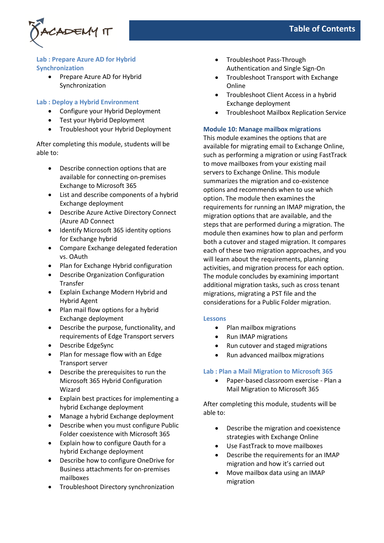

### **Lab : Prepare Azure AD for Hybrid Synchronization**

Prepare Azure AD for Hybrid Synchronization

### **Lab : Deploy a Hybrid Environment**

- Configure your Hybrid Deployment
- Test your Hybrid Deployment
- Troubleshoot your Hybrid Deployment

After completing this module, students will be able to:

- Describe connection options that are available for connecting on-premises Exchange to Microsoft 365
- List and describe components of a hybrid Exchange deployment
- Describe Azure Active Directory Connect (Azure AD Connect
- Identify Microsoft 365 identity options for Exchange hybrid
- Compare Exchange delegated federation vs. OAuth
- Plan for Exchange Hybrid configuration
- Describe Organization Configuration Transfer
- Explain Exchange Modern Hybrid and Hybrid Agent
- Plan mail flow options for a hybrid Exchange deployment
- Describe the purpose, functionality, and requirements of Edge Transport servers
- Describe EdgeSync
- Plan for message flow with an Edge Transport server
- Describe the prerequisites to run the Microsoft 365 Hybrid Configuration Wizard
- Explain best practices for implementing a hybrid Exchange deployment
- Manage a hybrid Exchange deployment
- Describe when you must configure Public Folder coexistence with Microsoft 365
- Explain how to configure Oauth for a hybrid Exchange deployment
- Describe how to configure OneDrive for Business attachments for on-premises mailboxes
- Troubleshoot Directory synchronization
- Troubleshoot Pass-Through Authentication and Single Sign-On
- Troubleshoot Transport with Exchange Online
- Troubleshoot Client Access in a hybrid Exchange deployment
- Troubleshoot Mailbox Replication Service

### **Module 10: Manage mailbox migrations**

This module examines the options that are available for migrating email to Exchange Online, such as performing a migration or using FastTrack to move mailboxes from your existing mail servers to Exchange Online. This module summarizes the migration and co-existence options and recommends when to use which option. The module then examines the requirements for running an IMAP migration, the migration options that are available, and the steps that are performed during a migration. The module then examines how to plan and perform both a cutover and staged migration. It compares each of these two migration approaches, and you will learn about the requirements, planning activities, and migration process for each option. The module concludes by examining important additional migration tasks, such as cross tenant migrations, migrating a PST file and the considerations for a Public Folder migration.

### **Lessons**

- Plan mailbox migrations
- Run IMAP migrations
- Run cutover and staged migrations
- Run advanced mailbox migrations

### **Lab : Plan a Mail Migration to Microsoft 365**

• Paper-based classroom exercise - Plan a Mail Migration to Microsoft 365

- Describe the migration and coexistence strategies with Exchange Online
- Use FastTrack to move mailboxes
- Describe the requirements for an IMAP migration and how it's carried out
- Move mailbox data using an IMAP migration